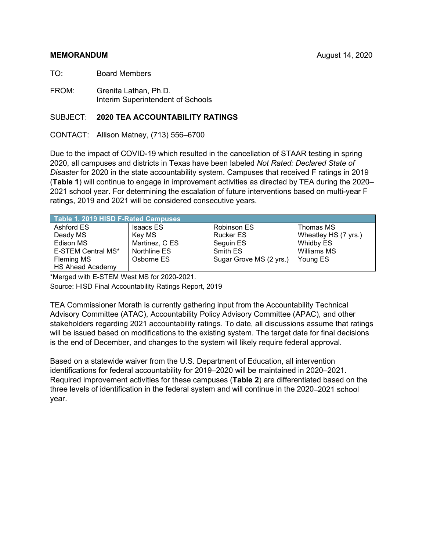## **MEMORANDUM** August 14, 2020

TO: Board Members

FROM: Grenita Lathan, Ph.D. Interim Superintendent of Schools

## SUBJECT: **2020 TEA ACCOUNTABILITY RATINGS**

CONTACT: Allison Matney, (713) 556–6700

Due to the impact of COVID-19 which resulted in the cancellation of STAAR testing in spring 2020, all campuses and districts in Texas have been labeled *Not Rated: Declared State of Disaster* for 2020 in the state accountability system. Campuses that received F ratings in 2019 (**Table 1**) will continue to engage in improvement activities as directed by TEA during the 2020– 2021 school year. For determining the escalation of future interventions based on multi-year F ratings, 2019 and 2021 will be considered consecutive years.

| Table 1. 2019 HISD F-Rated Campuses |                  |                         |                      |  |  |
|-------------------------------------|------------------|-------------------------|----------------------|--|--|
| Ashford ES                          | <b>Isaacs ES</b> | Robinson ES             | Thomas MS            |  |  |
| Deady MS                            | Key MS           | <b>Rucker ES</b>        | Wheatley HS (7 yrs.) |  |  |
| Edison MS                           | Martinez, C ES   | Seguin ES               | Whidby ES            |  |  |
| E-STEM Central MS*                  | Northline ES     | Smith ES                | Williams MS          |  |  |
| Fleming MS                          | Osborne ES       | Sugar Grove MS (2 yrs.) | Young ES             |  |  |
| <b>HS Ahead Academy</b>             |                  |                         |                      |  |  |

\*Merged with E-STEM West MS for 2020-2021.

Source: HISD Final Accountability Ratings Report, 2019

TEA Commissioner Morath is currently gathering input from the Accountability Technical Advisory Committee (ATAC), Accountability Policy Advisory Committee (APAC), and other stakeholders regarding 2021 accountability ratings. To date, all discussions assume that ratings will be issued based on modifications to the existing system. The target date for final decisions is the end of December, and changes to the system will likely require federal approval.

Based on a statewide waiver from the U.S. Department of Education, all intervention identifications for federal accountability for 2019–2020 will be maintained in 2020–2021. Required improvement activities for these campuses (**Table 2**) are differentiated based on the three levels of identification in the federal system and will continue in the 2020–2021 school year.